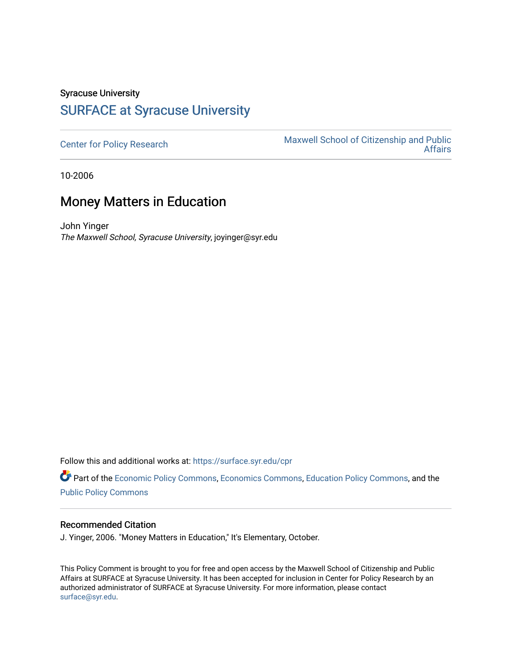## Syracuse University [SURFACE at Syracuse University](https://surface.syr.edu/)

[Center for Policy Research](https://surface.syr.edu/cpr) Maxwell School of Citizenship and Public<br>Affairs [Affairs](https://surface.syr.edu/maxwell) 

10-2006

## Money Matters in Education

John Yinger The Maxwell School, Syracuse University, joyinger@syr.edu

Follow this and additional works at: [https://surface.syr.edu/cpr](https://surface.syr.edu/cpr?utm_source=surface.syr.edu%2Fcpr%2F359&utm_medium=PDF&utm_campaign=PDFCoverPages) 

Part of the [Economic Policy Commons](http://network.bepress.com/hgg/discipline/1025?utm_source=surface.syr.edu%2Fcpr%2F359&utm_medium=PDF&utm_campaign=PDFCoverPages), [Economics Commons,](http://network.bepress.com/hgg/discipline/340?utm_source=surface.syr.edu%2Fcpr%2F359&utm_medium=PDF&utm_campaign=PDFCoverPages) [Education Policy Commons](http://network.bepress.com/hgg/discipline/1026?utm_source=surface.syr.edu%2Fcpr%2F359&utm_medium=PDF&utm_campaign=PDFCoverPages), and the [Public Policy Commons](http://network.bepress.com/hgg/discipline/400?utm_source=surface.syr.edu%2Fcpr%2F359&utm_medium=PDF&utm_campaign=PDFCoverPages)

## Recommended Citation

J. Yinger, 2006. "Money Matters in Education," It's Elementary, October.

This Policy Comment is brought to you for free and open access by the Maxwell School of Citizenship and Public Affairs at SURFACE at Syracuse University. It has been accepted for inclusion in Center for Policy Research by an authorized administrator of SURFACE at Syracuse University. For more information, please contact [surface@syr.edu.](mailto:surface@syr.edu)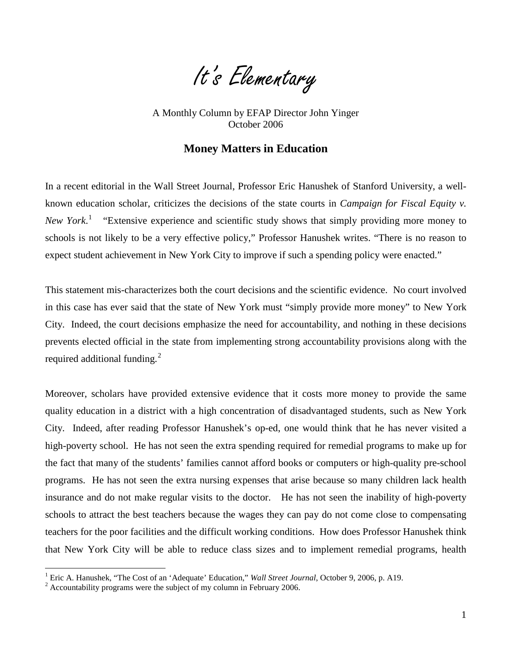

 October 2006 A Monthly Column by EFAP Director John Yinger

## **Money Matters in Education**

In a recent editorial in the Wall Street Journal, Professor Eric Hanushek of Stanford University, a wellknown education scholar, criticizes the decisions of the state courts in *Campaign for Fiscal Equity v.*  New York.<sup>1</sup> "Extensive experience and scientific study shows that simply providing more money to schools is not likely to be a very effective policy," Professor Hanushek writes. "There is no reason to expect student achievement in New York City to improve if such a spending policy were enacted."

This statement mis-characterizes both the court decisions and the scientific evidence. No court involved in this case has ever said that the state of New York must "simply provide more money" to New York City. Indeed, the court decisions emphasize the need for accountability, and nothing in these decisions prevents elected official in the state from implementing strong accountability provisions along with the required additional funding.<sup>2</sup>

Moreover, scholars have provided extensive evidence that it costs more money to provide the same quality education in a district with a high concentration of disadvantaged students, such as New York City. Indeed, after reading Professor Hanushek's op-ed, one would think that he has never visited a high-poverty school. He has not seen the extra spending required for remedial programs to make up for the fact that many of the students' families cannot afford books or computers or high-quality pre-school programs. He has not seen the extra nursing expenses that arise because so many children lack health insurance and do not make regular visits to the doctor. He has not seen the inability of high-poverty schools to attract the best teachers because the wages they can pay do not come close to compensating teachers for the poor facilities and the difficult working conditions. How does Professor Hanushek think that New York City will be able to reduce class sizes and to implement remedial programs, health

<span id="page-1-2"></span> $\overline{a}$ 

<span id="page-1-0"></span><sup>&</sup>lt;sup>1</sup> Eric A. Hanushek, "The Cost of an 'Adequate' Education," *Wall Street Journal*, October 9, 2006, p. A19.  $^2$  Accountability programs were the subject of my column in February 2006.

<span id="page-1-1"></span>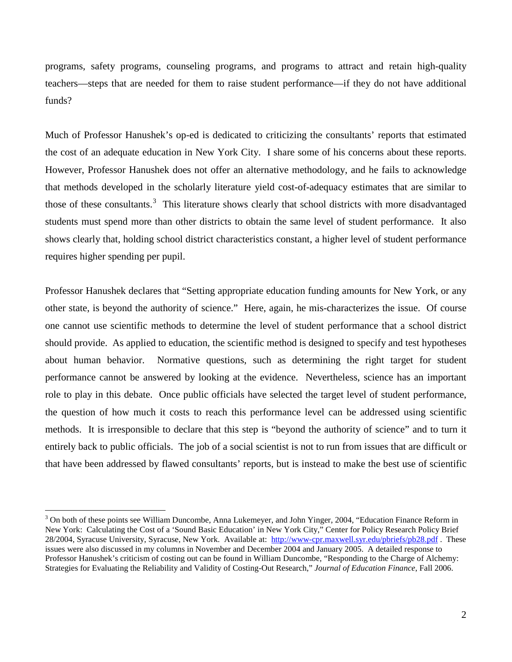programs, safety programs, counseling programs, and programs to attract and retain high-quality teachers—steps that are needed for them to raise student performance—if they do not have additional funds?

Much of Professor Hanushek's op-ed is dedicated to criticizing the consultants' reports that estimated the cost of an adequate education in New York City. I share some of his concerns about these reports. However, Professor Hanushek does not offer an alternative methodology, and he fails to acknowledge that methods developed in the scholarly literature yield cost-of-adequacy estimates that are similar to those of these consultants.<sup>3</sup> This literature shows clearly that school districts with more disadvantaged students must spend more than other districts to obtain the same level of student performance. It also shows clearly that, holding school district characteristics constant, a higher level of student performance requires higher spending per pupil.

Professor Hanushek declares that "Setting appropriate education funding amounts for New York, or any other state, is beyond the authority of science." Here, again, he mis-characterizes the issue. Of course one cannot use scientific methods to determine the level of student performance that a school district should provide. As applied to education, the scientific method is designed to specify and test hypotheses about human behavior. Normative questions, such as determining the right target for student performance cannot be answered by looking at the evidence. Nevertheless, science has an important role to play in this debate. Once public officials have selected the target level of student performance, the question of how much it costs to reach this performance level can be addressed using scientific methods. It is irresponsible to declare that this step is "beyond the authority of science" and to turn it entirely back to public officials. The job of a social scientist is not to run from issues that are difficult or that have been addressed by flawed consultants' reports, but is instead to make the best use of scientific

 $\overline{a}$ 

<sup>&</sup>lt;sup>3</sup> On both of these points see William Duncombe, Anna Lukemeyer, and John Yinger, 2004, "Education Finance Reform in New York: Calculating the Cost of a 'Sound Basic Education' in New York City," Center for Policy Research Policy Brief 28/2004, Syracuse University, Syracuse, New York. Available at:<http://www-cpr.maxwell.syr.edu/pbriefs/pb28.pdf>. These issues were also discussed in my columns in November and December 2004 and January 2005. A detailed response to Professor Hanushek's criticism of costing out can be found in William Duncombe, "Responding to the Charge of Alchemy: Strategies for Evaluating the Reliability and Validity of Costing-Out Research," *Journal of Education Finance*, Fall 2006.